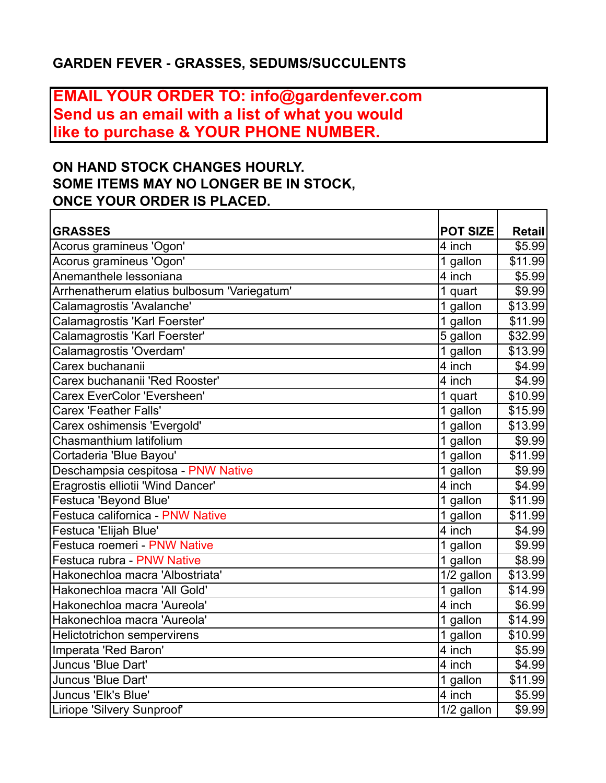## **GARDEN FEVER - GRASSES, SEDUMS/SUCCULENTS**

## **EMAIL YOUR ORDER TO: info@gardenfever.com Send us an email with a list of what you would like to purchase & YOUR PHONE NUMBER.**

## **ON HAND STOCK CHANGES HOURLY. SOME ITEMS MAY NO LONGER BE IN STOCK, ONCE YOUR ORDER IS PLACED.**

| <b>GRASSES</b>                              | <b>POT SIZE</b>     | <b>Retail</b> |
|---------------------------------------------|---------------------|---------------|
| Acorus gramineus 'Ogon'                     | 4 inch              | \$5.99        |
| Acorus gramineus 'Ogon'                     | 1 gallon            | \$11.99       |
| Anemanthele lessoniana                      | 4 inch              | \$5.99        |
| Arrhenatherum elatius bulbosum 'Variegatum' | 1 quart             | \$9.99        |
| Calamagrostis 'Avalanche'                   | 1 gallon            | \$13.99       |
| Calamagrostis 'Karl Foerster'               | 1 gallon            | \$11.99       |
| Calamagrostis 'Karl Foerster'               | 5 gallon            | \$32.99       |
| Calamagrostis 'Overdam'                     | 1 gallon            | \$13.99       |
| Carex buchananii                            | $\overline{4}$ inch | \$4.99        |
| Carex buchananii 'Red Rooster'              | 4 inch              | \$4.99        |
| Carex EverColor 'Eversheen'                 | 1 quart             | \$10.99       |
| Carex 'Feather Falls'                       | 1 gallon            | \$15.99       |
| Carex oshimensis 'Evergold'                 | 1 gallon            | \$13.99       |
| Chasmanthium latifolium                     | 1 gallon            | \$9.99        |
| Cortaderia 'Blue Bayou'                     | 1 gallon            | \$11.99       |
| Deschampsia cespitosa - PNW Native          | 1 gallon            | \$9.99        |
| Eragrostis elliotii 'Wind Dancer'           | $\overline{4}$ inch | \$4.99        |
| <b>Festuca 'Beyond Blue'</b>                | 1 gallon            | \$11.99       |
| Festuca californica - PNW Native            | 1 gallon            | \$11.99       |
| Festuca 'Elijah Blue'                       | 4 inch              | \$4.99        |
| Festuca roemeri - PNW Native                | 1 gallon            | \$9.99        |
| Festuca rubra - PNW Native                  | 1 gallon            | \$8.99        |
| Hakonechloa macra 'Albostriata'             | 1/2 gallon          | \$13.99       |
| Hakonechloa macra 'All Gold'                | 1 gallon            | \$14.99       |
| Hakonechloa macra 'Aureola'                 | 4 inch              | \$6.99        |
| Hakonechloa macra 'Aureola'                 | 1 gallon            | \$14.99       |
| <b>Helictotrichon sempervirens</b>          | 1 gallon            | \$10.99       |
| Imperata 'Red Baron'                        | $\overline{4}$ inch | \$5.99        |
| Juncus 'Blue Dart'                          | 4 inch              | \$4.99        |
| Juncus 'Blue Dart'                          | 1 gallon            | \$11.99       |
| Juncus 'Elk's Blue'                         | 4 inch              | \$5.99        |
| Liriope 'Silvery Sunproof'                  | $1/2$ gallon        | \$9.99        |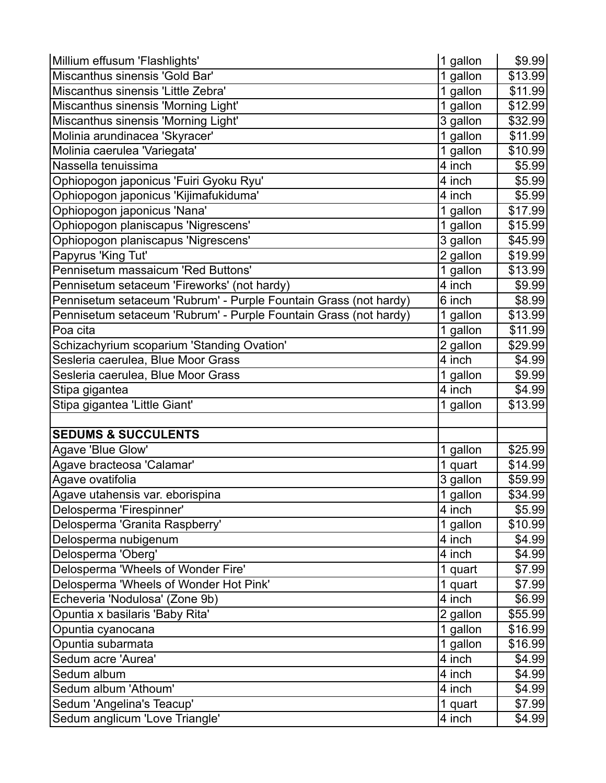| Millium effusum 'Flashlights'                                    | 1 gallon            | \$9.99  |
|------------------------------------------------------------------|---------------------|---------|
| Miscanthus sinensis 'Gold Bar'                                   | 1 gallon            | \$13.99 |
| Miscanthus sinensis 'Little Zebra'                               | 1 gallon            | \$11.99 |
| Miscanthus sinensis 'Morning Light'                              | 1 gallon            | \$12.99 |
| Miscanthus sinensis 'Morning Light'                              | 3 gallon            | \$32.99 |
| Molinia arundinacea 'Skyracer'                                   | 1 gallon            | \$11.99 |
| Molinia caerulea 'Variegata'                                     | 1 gallon            | \$10.99 |
| Nassella tenuissima                                              | 4 inch              | \$5.99  |
| Ophiopogon japonicus 'Fuiri Gyoku Ryu'                           | 4 inch              | \$5.99  |
| Ophiopogon japonicus 'Kijimafukiduma'                            | 4 inch              | \$5.99  |
| Ophiopogon japonicus 'Nana'                                      | 1 gallon            | \$17.99 |
| Ophiopogon planiscapus 'Nigrescens'                              | 1 gallon            | \$15.99 |
| Ophiopogon planiscapus 'Nigrescens'                              | 3 gallon            | \$45.99 |
| Papyrus 'King Tut'                                               | 2 gallon            | \$19.99 |
| Pennisetum massaicum 'Red Buttons'                               | 1 gallon            | \$13.99 |
| Pennisetum setaceum 'Fireworks' (not hardy)                      | 4 inch              | \$9.99  |
| Pennisetum setaceum 'Rubrum' - Purple Fountain Grass (not hardy) | 6 inch              | \$8.99  |
| Pennisetum setaceum 'Rubrum' - Purple Fountain Grass (not hardy) | 1 gallon            | \$13.99 |
| Poa cita                                                         | 1 gallon            | \$11.99 |
| Schizachyrium scoparium 'Standing Ovation'                       | 2 gallon            | \$29.99 |
| Sesleria caerulea, Blue Moor Grass                               | 4 inch              | \$4.99  |
| Sesleria caerulea, Blue Moor Grass                               | 1 gallon            | \$9.99  |
| Stipa gigantea                                                   | $\overline{4}$ inch | \$4.99  |
| Stipa gigantea 'Little Giant'                                    | 1 gallon            | \$13.99 |
|                                                                  |                     |         |
| <b>SEDUMS &amp; SUCCULENTS</b>                                   |                     |         |
| Agave 'Blue Glow'                                                | 1 gallon            | \$25.99 |
| Agave bracteosa 'Calamar'                                        | 1 quart             | \$14.99 |
| Agave ovatifolia                                                 | 3 gallon            | \$59.99 |
| Agave utahensis var. eborispina                                  | 1 gallon            | \$34.99 |
| Delosperma 'Firespinner'                                         | 4 inch              | \$5.99  |
| Delosperma 'Granita Raspberry'                                   | 1 gallon            | \$10.99 |
| Delosperma nubigenum                                             | 4 inch              | \$4.99  |
| Delosperma 'Oberg'                                               | 4 inch              | \$4.99  |
| Delosperma 'Wheels of Wonder Fire'                               | 1 quart             | \$7.99  |
| Delosperma 'Wheels of Wonder Hot Pink'                           | 1 quart             | \$7.99  |
| Echeveria 'Nodulosa' (Zone 9b)                                   | 4 inch              | \$6.99  |
| Opuntia x basilaris 'Baby Rita'                                  | 2 gallon            | \$55.99 |
| Opuntia cyanocana                                                | 1 gallon            | \$16.99 |
| Opuntia subarmata                                                | 1 gallon            | \$16.99 |
| Sedum acre 'Aurea'                                               | 4 inch              | \$4.99  |
| Sedum album                                                      | 4 inch              | \$4.99  |
| Sedum album 'Athoum'                                             | 4 inch              | \$4.99  |
| Sedum 'Angelina's Teacup'                                        | 1 quart             | \$7.99  |
| Sedum anglicum 'Love Triangle'                                   | 4 inch              | \$4.99  |